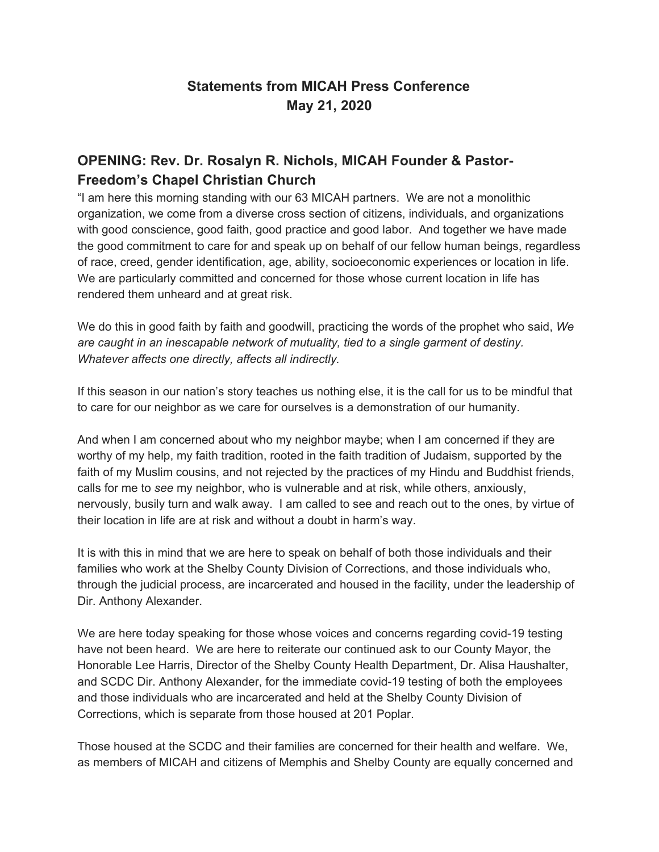## **Statements from MICAH Press Conference May 21, 2020**

### **OPENING: Rev. Dr. Rosalyn R. Nichols, MICAH Founder & Pastor-Freedom's Chapel Christian Church**

"I am here this morning standing with our 63 MICAH partners. We are not a monolithic organization, we come from a diverse cross section of citizens, individuals, and organizations with good conscience, good faith, good practice and good labor. And together we have made the good commitment to care for and speak up on behalf of our fellow human beings, regardless of race, creed, gender identification, age, ability, socioeconomic experiences or location in life. We are particularly committed and concerned for those whose current location in life has rendered them unheard and at great risk.

We do this in good faith by faith and goodwill, practicing the words of the prophet who said, *We are caught in an inescapable network of mutuality, tied to a single garment of destiny. Whatever affects one directly, affects all indirectly.*

If this season in our nation's story teaches us nothing else, it is the call for us to be mindful that to care for our neighbor as we care for ourselves is a demonstration of our humanity.

And when I am concerned about who my neighbor maybe; when I am concerned if they are worthy of my help, my faith tradition, rooted in the faith tradition of Judaism, supported by the faith of my Muslim cousins, and not rejected by the practices of my Hindu and Buddhist friends, calls for me to *see* my neighbor, who is vulnerable and at risk, while others, anxiously, nervously, busily turn and walk away. I am called to see and reach out to the ones, by virtue of their location in life are at risk and without a doubt in harm's way.

It is with this in mind that we are here to speak on behalf of both those individuals and their families who work at the Shelby County Division of Corrections, and those individuals who, through the judicial process, are incarcerated and housed in the facility, under the leadership of Dir. Anthony Alexander.

We are here today speaking for those whose voices and concerns regarding covid-19 testing have not been heard. We are here to reiterate our continued ask to our County Mayor, the Honorable Lee Harris, Director of the Shelby County Health Department, Dr. Alisa Haushalter, and SCDC Dir. Anthony Alexander, for the immediate covid-19 testing of both the employees and those individuals who are incarcerated and held at the Shelby County Division of Corrections, which is separate from those housed at 201 Poplar.

Those housed at the SCDC and their families are concerned for their health and welfare. We, as members of MICAH and citizens of Memphis and Shelby County are equally concerned and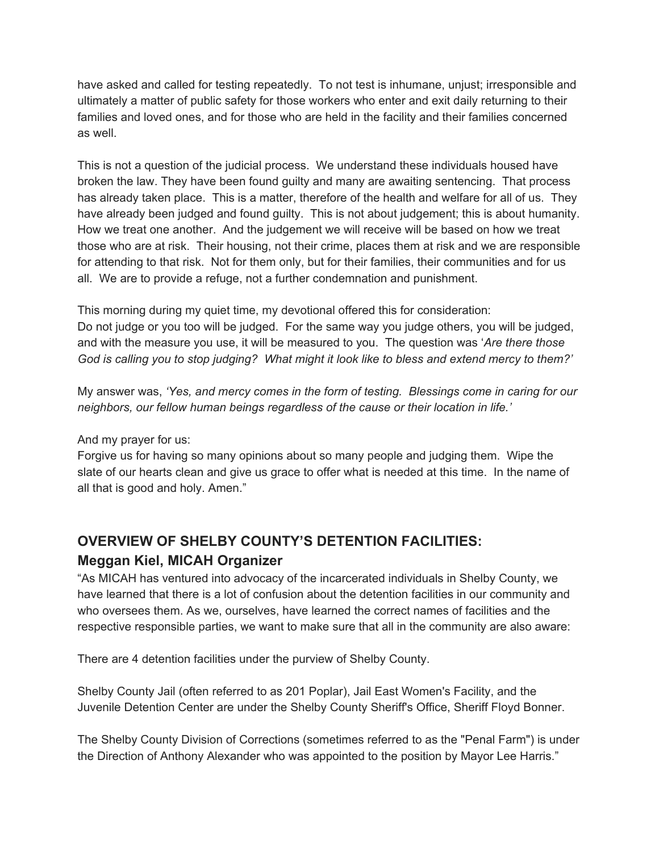have asked and called for testing repeatedly. To not test is inhumane, unjust; irresponsible and ultimately a matter of public safety for those workers who enter and exit daily returning to their families and loved ones, and for those who are held in the facility and their families concerned as well.

This is not a question of the judicial process. We understand these individuals housed have broken the law. They have been found guilty and many are awaiting sentencing. That process has already taken place. This is a matter, therefore of the health and welfare for all of us. They have already been judged and found guilty. This is not about judgement; this is about humanity. How we treat one another. And the judgement we will receive will be based on how we treat those who are at risk. Their housing, not their crime, places them at risk and we are responsible for attending to that risk. Not for them only, but for their families, their communities and for us all. We are to provide a refuge, not a further condemnation and punishment.

This morning during my quiet time, my devotional offered this for consideration: Do not judge or you too will be judged. For the same way you judge others, you will be judged, and with the measure you use, it will be measured to you. The question was '*Are there those* God is calling you to stop judging? What might it look like to bless and extend mercy to them?'

My answer was, *'Yes, and mercy comes in the form of testing. Blessings come in caring for our neighbors, our fellow human beings regardless of the cause or their location in life.'*

And my prayer for us:

Forgive us for having so many opinions about so many people and judging them. Wipe the slate of our hearts clean and give us grace to offer what is needed at this time. In the name of all that is good and holy. Amen."

## **OVERVIEW OF SHELBY COUNTY'S DETENTION FACILITIES: Meggan Kiel, MICAH Organizer**

"As MICAH has ventured into advocacy of the incarcerated individuals in Shelby County, we have learned that there is a lot of confusion about the detention facilities in our community and who oversees them. As we, ourselves, have learned the correct names of facilities and the respective responsible parties, we want to make sure that all in the community are also aware:

There are 4 detention facilities under the purview of Shelby County.

Shelby County Jail (often referred to as 201 Poplar), Jail East Women's Facility, and the Juvenile Detention Center are under the Shelby County Sheriff's Office, Sheriff Floyd Bonner.

The Shelby County Division of Corrections (sometimes referred to as the "Penal Farm") is under the Direction of Anthony Alexander who was appointed to the position by Mayor Lee Harris."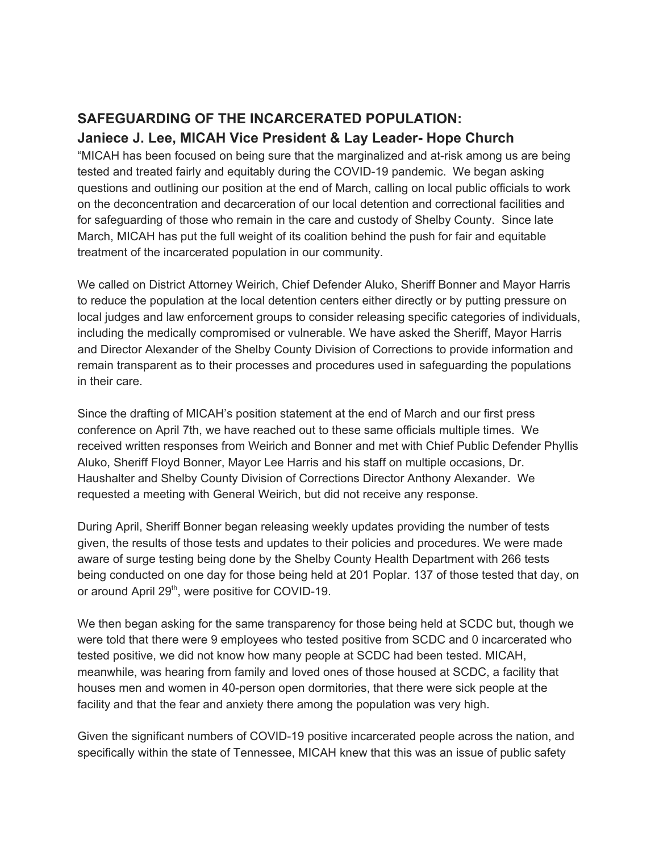### **SAFEGUARDING OF THE INCARCERATED POPULATION: Janiece J. Lee, MICAH Vice President & Lay Leader- Hope Church**

"MICAH has been focused on being sure that the marginalized and at-risk among us are being tested and treated fairly and equitably during the COVID-19 pandemic. We began asking questions and outlining our position at the end of March, calling on local public officials to work on the deconcentration and decarceration of our local detention and correctional facilities and for safeguarding of those who remain in the care and custody of Shelby County. Since late March, MICAH has put the full weight of its coalition behind the push for fair and equitable treatment of the incarcerated population in our community.

We called on District Attorney Weirich, Chief Defender Aluko, Sheriff Bonner and Mayor Harris to reduce the population at the local detention centers either directly or by putting pressure on local judges and law enforcement groups to consider releasing specific categories of individuals, including the medically compromised or vulnerable. We have asked the Sheriff, Mayor Harris and Director Alexander of the Shelby County Division of Corrections to provide information and remain transparent as to their processes and procedures used in safeguarding the populations in their care.

Since the drafting of MICAH's position statement at the end of March and our first press conference on April 7th, we have reached out to these same officials multiple times. We received written responses from Weirich and Bonner and met with Chief Public Defender Phyllis Aluko, Sheriff Floyd Bonner, Mayor Lee Harris and his staff on multiple occasions, Dr. Haushalter and Shelby County Division of Corrections Director Anthony Alexander. We requested a meeting with General Weirich, but did not receive any response.

During April, Sheriff Bonner began releasing weekly updates providing the number of tests given, the results of those tests and updates to their policies and procedures. We were made aware of surge testing being done by the Shelby County Health Department with 266 tests being conducted on one day for those being held at 201 Poplar. 137 of those tested that day, on or around April 29<sup>th</sup>, were positive for COVID-19.

We then began asking for the same transparency for those being held at SCDC but, though we were told that there were 9 employees who tested positive from SCDC and 0 incarcerated who tested positive, we did not know how many people at SCDC had been tested. MICAH, meanwhile, was hearing from family and loved ones of those housed at SCDC, a facility that houses men and women in 40-person open dormitories, that there were sick people at the facility and that the fear and anxiety there among the population was very high.

Given the significant numbers of COVID-19 positive incarcerated people across the nation, and specifically within the state of Tennessee, MICAH knew that this was an issue of public safety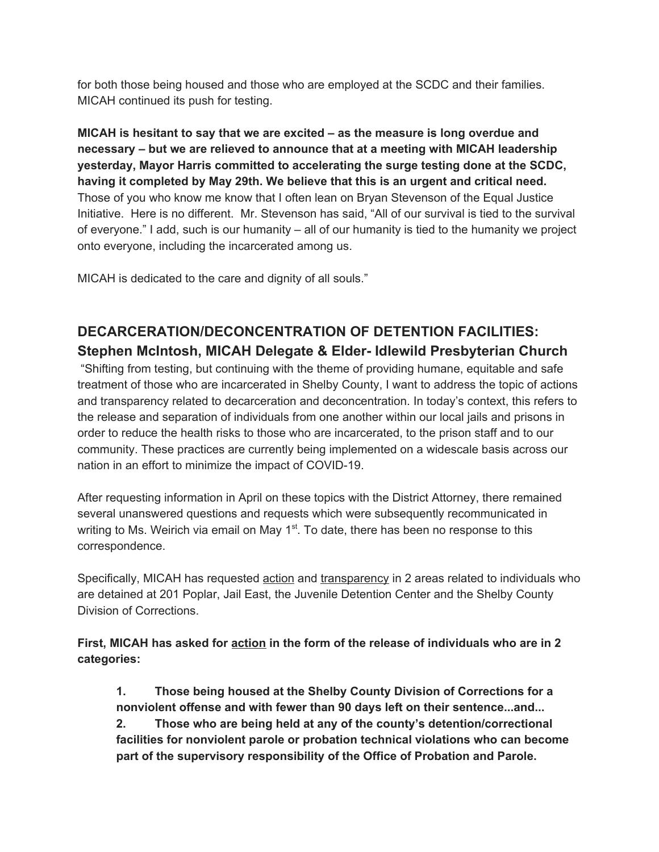for both those being housed and those who are employed at the SCDC and their families. MICAH continued its push for testing.

**MICAH is hesitant to say that we are excited – as the measure is long overdue and necessary – but we are relieved to announce that at a meeting with MICAH leadership yesterday, Mayor Harris committed to accelerating the surge testing done at the SCDC, having it completed by May 29th. We believe that this is an urgent and critical need.** Those of you who know me know that I often lean on Bryan Stevenson of the Equal Justice Initiative. Here is no different. Mr. Stevenson has said, "All of our survival is tied to the survival of everyone." I add, such is our humanity – all of our humanity is tied to the humanity we project onto everyone, including the incarcerated among us.

MICAH is dedicated to the care and dignity of all souls."

# **DECARCERATION/DECONCENTRATION OF DETENTION FACILITIES: Stephen McIntosh, MICAH Delegate & Elder- Idlewild Presbyterian Church**

"Shifting from testing, but continuing with the theme of providing humane, equitable and safe treatment of those who are incarcerated in Shelby County, I want to address the topic of actions and transparency related to decarceration and deconcentration. In today's context, this refers to the release and separation of individuals from one another within our local jails and prisons in order to reduce the health risks to those who are incarcerated, to the prison staff and to our community. These practices are currently being implemented on a widescale basis across our nation in an effort to minimize the impact of COVID-19.

After requesting information in April on these topics with the District Attorney, there remained several unanswered questions and requests which were subsequently recommunicated in writing to Ms. Weirich via email on May 1<sup>st</sup>. To date, there has been no response to this correspondence.

Specifically, MICAH has requested action and transparency in 2 areas related to individuals who are detained at 201 Poplar, Jail East, the Juvenile Detention Center and the Shelby County Division of Corrections.

**First, MICAH has asked for action in the form of the release of individuals who are in 2 categories:**

**1. Those being housed at the Shelby County Division of Corrections for a nonviolent offense and with fewer than 90 days left on their sentence...and... 2. Those who are being held at any of the county's detention/correctional facilities for nonviolent parole or probation technical violations who can become part of the supervisory responsibility of the Office of Probation and Parole.**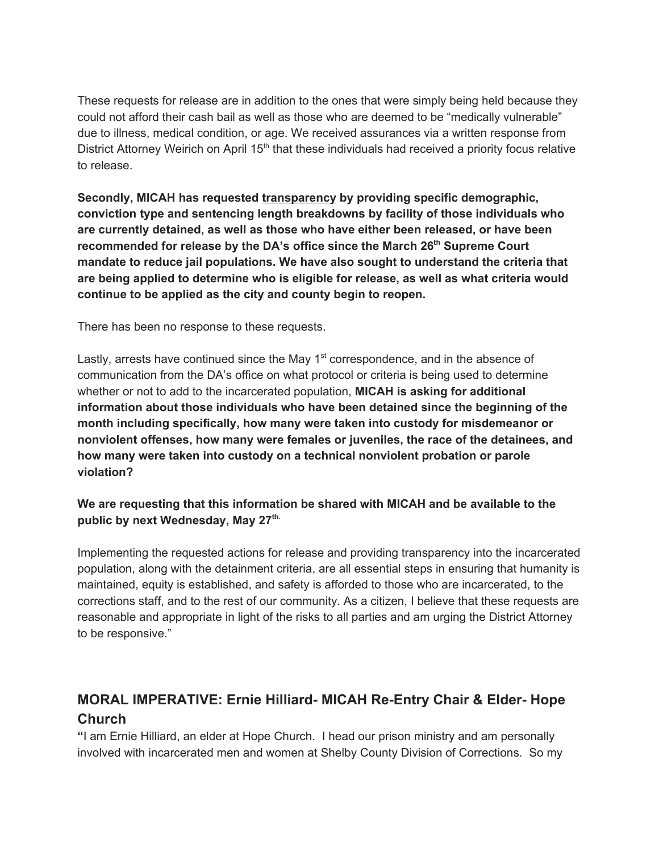These requests for release are in addition to the ones that were simply being held because they could not afford their cash bail as well as those who are deemed to be "medically vulnerable" due to illness, medical condition, or age. We received assurances via a written response from District Attorney Weirich on April 15<sup>th</sup> that these individuals had received a priority focus relative to release.

**Secondly, MICAH has requested transparency by providing specific demographic, conviction type and sentencing length breakdowns by facility of those individuals who are currently detained, as well as those who have either been released, or have been recommended for release by the DA's office since the March 26 th Supreme Court mandate to reduce jail populations. We have also sought to understand the criteria that are being applied to determine who is eligible for release, as well as what criteria would continue to be applied as the city and county begin to reopen.**

There has been no response to these requests.

Lastly, arrests have continued since the May 1<sup>st</sup> correspondence, and in the absence of communication from the DA's office on what protocol or criteria is being used to determine whether or not to add to the incarcerated population, **MICAH is asking for additional information about those individuals who have been detained since the beginning of the month including specifically, how many were taken into custody for misdemeanor or nonviolent offenses, how many were females or juveniles, the race of the detainees, and how many were taken into custody on a technical nonviolent probation or parole violation?**

#### **We are requesting that this information be shared with MICAH and be available to the public by next Wednesday, May 27 th.**

Implementing the requested actions for release and providing transparency into the incarcerated population, along with the detainment criteria, are all essential steps in ensuring that humanity is maintained, equity is established, and safety is afforded to those who are incarcerated, to the corrections staff, and to the rest of our community. As a citizen, I believe that these requests are reasonable and appropriate in light of the risks to all parties and am urging the District Attorney to be responsive."

### **MORAL IMPERATIVE: Ernie Hilliard- MICAH Re-Entry Chair & Elder- Hope Church**

**"**I am Ernie Hilliard, an elder at Hope Church. I head our prison ministry and am personally involved with incarcerated men and women at Shelby County Division of Corrections. So my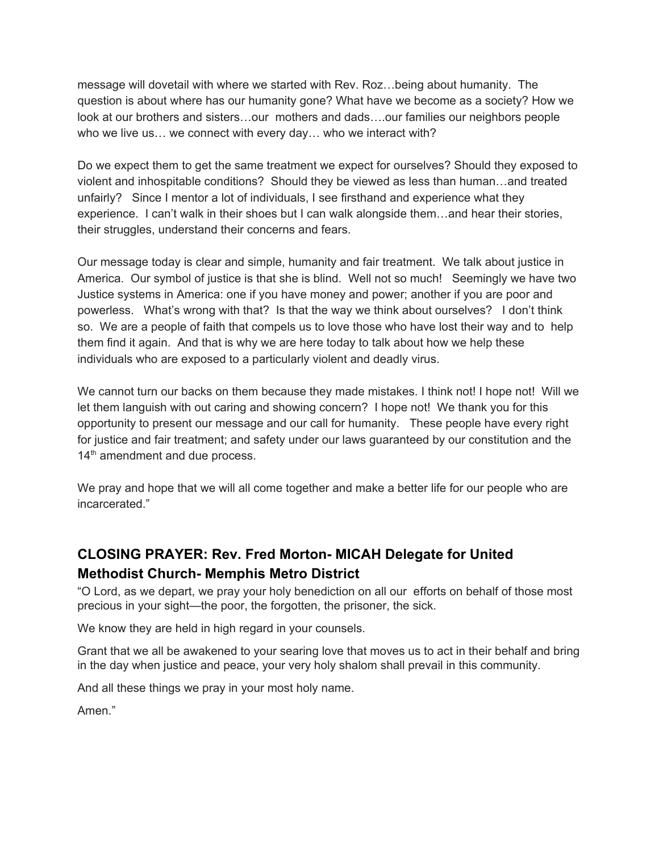message will dovetail with where we started with Rev. Roz…being about humanity. The question is about where has our humanity gone? What have we become as a society? How we look at our brothers and sisters…our mothers and dads….our families our neighbors people who we live us… we connect with every day… who we interact with?

Do we expect them to get the same treatment we expect for ourselves? Should they exposed to violent and inhospitable conditions? Should they be viewed as less than human…and treated unfairly? Since I mentor a lot of individuals, I see firsthand and experience what they experience. I can't walk in their shoes but I can walk alongside them…and hear their stories, their struggles, understand their concerns and fears.

Our message today is clear and simple, humanity and fair treatment. We talk about justice in America. Our symbol of justice is that she is blind. Well not so much! Seemingly we have two Justice systems in America: one if you have money and power; another if you are poor and powerless. What's wrong with that? Is that the way we think about ourselves? I don't think so. We are a people of faith that compels us to love those who have lost their way and to help them find it again. And that is why we are here today to talk about how we help these individuals who are exposed to a particularly violent and deadly virus.

We cannot turn our backs on them because they made mistakes. I think not! I hope not! Will we let them languish with out caring and showing concern? I hope not! We thank you for this opportunity to present our message and our call for humanity. These people have every right for justice and fair treatment; and safety under our laws guaranteed by our constitution and the 14<sup>th</sup> amendment and due process.

We pray and hope that we will all come together and make a better life for our people who are incarcerated."

# **CLOSING PRAYER: Rev. Fred Morton- MICAH Delegate for United Methodist Church- Memphis Metro District**

"O Lord, as we depart, we pray your holy benediction on all our efforts on behalf of those most precious in your sight—the poor, the forgotten, the prisoner, the sick.

We know they are held in high regard in your counsels.

Grant that we all be awakened to your searing love that moves us to act in their behalf and bring in the day when justice and peace, your very holy shalom shall prevail in this community.

And all these things we pray in your most holy name.

Amen."